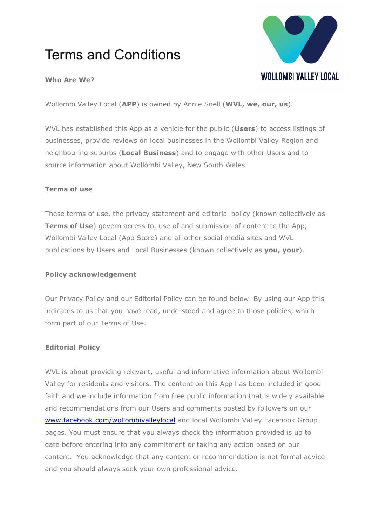# Terms and Conditions



### **Who Are We?**

Wollombi Valley Local (**APP**) is owned by Annie Snell (**WVL, we, our, us**).

WVL has established this App as a vehicle for the public (**Users**) to access listings of businesses, provide reviews on local businesses in the Wollombi Valley Region and neighbouring suburbs (**Local Business**) and to engage with other Users and to source information about Wollombi Valley, New South Wales.

#### **Terms of use**

These terms of use, the privacy statement and editorial policy (known collectively as **Terms of Use**) govern access to, use of and submission of content to the App, Wollombi Valley Local (App Store) and all other social media sites and WVL publications by Users and Local Businesses (known collectively as **you, your**).

#### **Policy acknowledgement**

Our Privacy Policy and our Editorial Policy can be found below. By using our App this indicates to us that you have read, understood and agree to those policies, which form part of our Terms of Use.

#### **Editorial Policy**

WVL is about providing relevant, useful and informative information about Wollombi Valley for residents and visitors. The content on this App has been included in good faith and we include information from free public information that is widely available and recommendations from our Users and comments posted by followers on our [www.facebook.com/wollombivalleylocal](http://www.facebook.com/wollombivalleylocal) and local Wollombi Valley Facebook Group pages. You must ensure that you always check the information provided is up to date before entering into any commitment or taking any action based on our content. You acknowledge that any content or recommendation is not formal advice and you should always seek your own professional advice.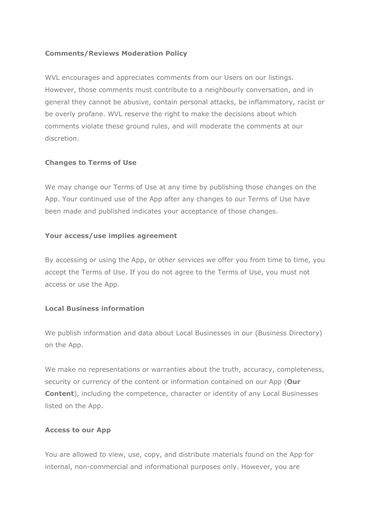#### **Comments/Reviews Moderation Policy**

WVL encourages and appreciates comments from our Users on our listings. However, those comments must contribute to a neighbourly conversation, and in general they cannot be abusive, contain personal attacks, be inflammatory, racist or be overly profane. WVL reserve the right to make the decisions about which comments violate these ground rules, and will moderate the comments at our discretion.

#### **Changes to Terms of Use**

We may change our Terms of Use at any time by publishing those changes on the App. Your continued use of the App after any changes to our Terms of Use have been made and published indicates your acceptance of those changes.

#### **Your access/use implies agreement**

By accessing or using the App, or other services we offer you from time to time, you accept the Terms of Use. If you do not agree to the Terms of Use, you must not access or use the App.

#### **Local Business information**

We publish information and data about Local Businesses in our [\(Business Directory\)](https://inthecove.com.au/business-directory/) on the App.

We make no representations or warranties about the truth, accuracy, completeness, security or currency of the content or information contained on our App (**Our Content**), including the competence, character or identity of any Local Businesses listed on the App.

#### **Access to our App**

You are allowed to view, use, copy, and distribute materials found on the App for internal, non-commercial and informational purposes only. However, you are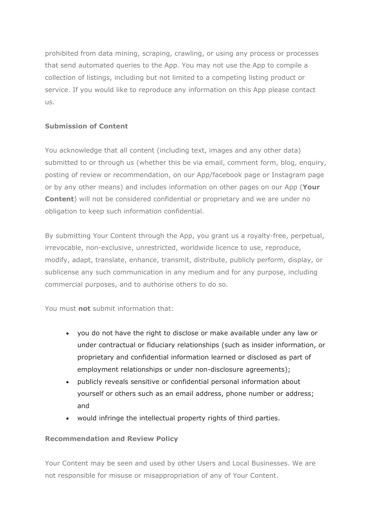prohibited from data mining, scraping, crawling, or using any process or processes that send automated queries to the App. You may not use the App to compile a collection of listings, including but not limited to a competing listing product or service. If you would like to reproduce any information on this App please contact us.

# **Submission of Content**

You acknowledge that all content (including text, images and any other data) submitted to or through us (whether this be via email, comment form, blog, enquiry, posting of review or recommendation, on our App/facebook page or Instagram page or by any other means) and includes information on other pages on our App (**Your Content**) will not be considered confidential or proprietary and we are under no obligation to keep such information confidential.

By submitting Your Content through the App, you grant us a royalty-free, perpetual, irrevocable, non-exclusive, unrestricted, worldwide licence to use, reproduce, modify, adapt, translate, enhance, transmit, distribute, publicly perform, display, or sublicense any such communication in any medium and for any purpose, including commercial purposes, and to authorise others to do so.

You must **not** submit information that:

- you do not have the right to disclose or make available under any law or under contractual or fiduciary relationships (such as insider information, or proprietary and confidential information learned or disclosed as part of employment relationships or under non-disclosure agreements);
- publicly reveals sensitive or confidential personal information about yourself or others such as an email address, phone number or address; and
- would infringe the intellectual property rights of third parties.

#### **Recommendation and Review Policy**

Your Content may be seen and used by other Users and Local Businesses. We are not responsible for misuse or misappropriation of any of Your Content.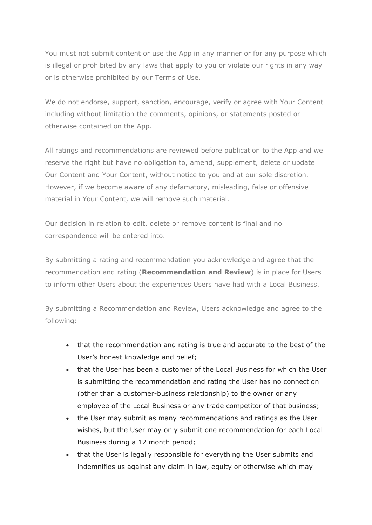You must not submit content or use the App in any manner or for any purpose which is illegal or prohibited by any laws that apply to you or violate our rights in any way or is otherwise prohibited by our Terms of Use.

We do not endorse, support, sanction, encourage, verify or agree with Your Content including without limitation the comments, opinions, or statements posted or otherwise contained on the App.

All ratings and recommendations are reviewed before publication to the App and we reserve the right but have no obligation to, amend, supplement, delete or update Our Content and Your Content, without notice to you and at our sole discretion. However, if we become aware of any defamatory, misleading, false or offensive material in Your Content, we will remove such material.

Our decision in relation to edit, delete or remove content is final and no correspondence will be entered into.

By submitting a rating and recommendation you acknowledge and agree that the recommendation and rating (**Recommendation and Review**) is in place for Users to inform other Users about the experiences Users have had with a Local Business.

By submitting a Recommendation and Review, Users acknowledge and agree to the following:

- that the recommendation and rating is true and accurate to the best of the User's honest knowledge and belief;
- that the User has been a customer of the Local Business for which the User is submitting the recommendation and rating the User has no connection (other than a customer-business relationship) to the owner or any employee of the Local Business or any trade competitor of that business;
- the User may submit as many recommendations and ratings as the User wishes, but the User may only submit one recommendation for each Local Business during a 12 month period;
- that the User is legally responsible for everything the User submits and indemnifies us against any claim in law, equity or otherwise which may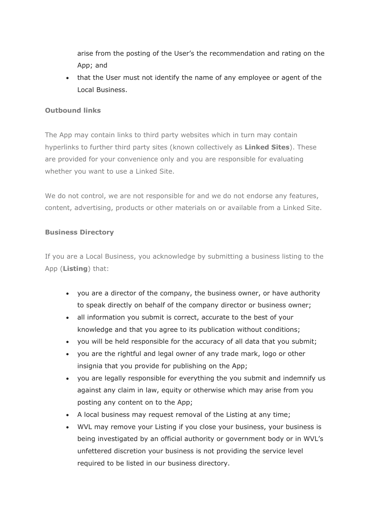arise from the posting of the User's the recommendation and rating on the App; and

• that the User must not identify the name of any employee or agent of the Local Business.

### **Outbound links**

The App may contain links to third party websites which in turn may contain hyperlinks to further third party sites (known collectively as **Linked Sites**). These are provided for your convenience only and you are responsible for evaluating whether you want to use a Linked Site.

We do not control, we are not responsible for and we do not endorse any features, content, advertising, products or other materials on or available from a Linked Site.

#### **Business Directory**

If you are a Local Business, you acknowledge by submitting a business listing to the App (**Listing**) that:

- you are a director of the company, the business owner, or have authority to speak directly on behalf of the company director or business owner;
- all information you submit is correct, accurate to the best of your knowledge and that you agree to its publication without conditions;
- you will be held responsible for the accuracy of all data that you submit;
- you are the rightful and legal owner of any trade mark, logo or other insignia that you provide for publishing on the App;
- you are legally responsible for everything the you submit and indemnify us against any claim in law, equity or otherwise which may arise from you posting any content on to the App;
- A local business may request removal of the Listing at any time;
- WVL may remove your Listing if you close your business, your business is being investigated by an official authority or government body or in WVL's unfettered discretion your business is not providing the service level required to be listed in our business directory.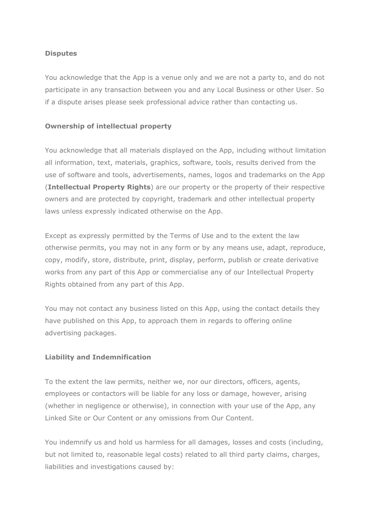### **Disputes**

You acknowledge that the App is a venue only and we are not a party to, and do not participate in any transaction between you and any Local Business or other User. So if a dispute arises please seek professional advice rather than contacting us.

# **Ownership of intellectual property**

You acknowledge that all materials displayed on the App, including without limitation all information, text, materials, graphics, software, tools, results derived from the use of software and tools, advertisements, names, logos and trademarks on the App (**Intellectual Property Rights**) are our property or the property of their respective owners and are protected by copyright, trademark and other intellectual property laws unless expressly indicated otherwise on the App.

Except as expressly permitted by the Terms of Use and to the extent the law otherwise permits, you may not in any form or by any means use, adapt, reproduce, copy, modify, store, distribute, print, display, perform, publish or create derivative works from any part of this App or commercialise any of our Intellectual Property Rights obtained from any part of this App.

You may not contact any business listed on this App, using the contact details they have published on this App, to approach them in regards to offering online advertising packages.

#### **Liability and Indemnification**

To the extent the law permits, neither we, nor our directors, officers, agents, employees or contactors will be liable for any loss or damage, however, arising (whether in negligence or otherwise), in connection with your use of the App, any Linked Site or Our Content or any omissions from Our Content.

You indemnify us and hold us harmless for all damages, losses and costs (including, but not limited to, reasonable legal costs) related to all third party claims, charges, liabilities and investigations caused by: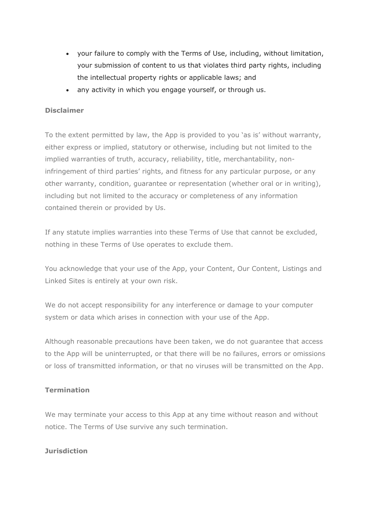- your failure to comply with the Terms of Use, including, without limitation, your submission of content to us that violates third party rights, including the intellectual property rights or applicable laws; and
- any activity in which you engage yourself, or through us.

### **Disclaimer**

To the extent permitted by law, the App is provided to you 'as is' without warranty, either express or implied, statutory or otherwise, including but not limited to the implied warranties of truth, accuracy, reliability, title, merchantability, noninfringement of third parties' rights, and fitness for any particular purpose, or any other warranty, condition, guarantee or representation (whether oral or in writing), including but not limited to the accuracy or completeness of any information contained therein or provided by Us.

If any statute implies warranties into these Terms of Use that cannot be excluded, nothing in these Terms of Use operates to exclude them.

You acknowledge that your use of the App, your Content, Our Content, Listings and Linked Sites is entirely at your own risk.

We do not accept responsibility for any interference or damage to your computer system or data which arises in connection with your use of the App.

Although reasonable precautions have been taken, we do not guarantee that access to the App will be uninterrupted, or that there will be no failures, errors or omissions or loss of transmitted information, or that no viruses will be transmitted on the App.

#### **Termination**

We may terminate your access to this App at any time without reason and without notice. The Terms of Use survive any such termination.

#### **Jurisdiction**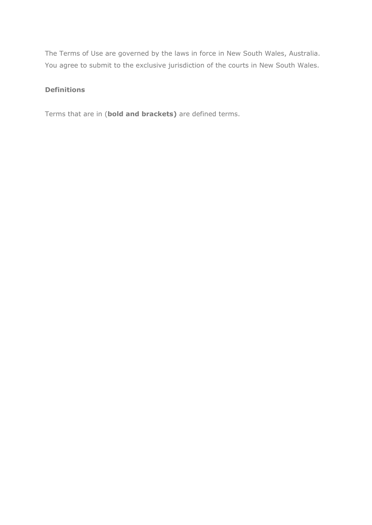The Terms of Use are governed by the laws in force in New South Wales, Australia. You agree to submit to the exclusive jurisdiction of the courts in New South Wales.

#### **Definitions**

Terms that are in (**bold and brackets)** are defined terms.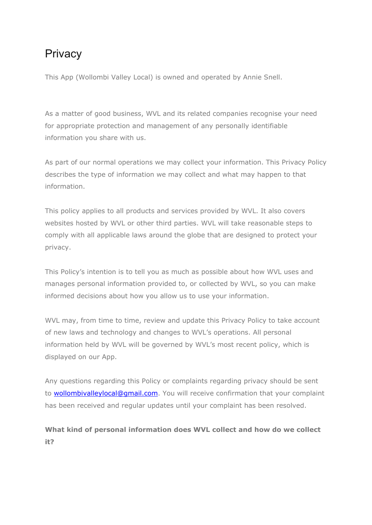# **Privacy**

This App (Wollombi Valley Local) is owned and operated by Annie Snell.

As a matter of good business, WVL and its related companies recognise your need for appropriate protection and management of any personally identifiable information you share with us.

As part of our normal operations we may collect your information. This Privacy Policy describes the type of information we may collect and what may happen to that information.

This policy applies to all products and services provided by WVL. It also covers websites hosted by WVL or other third parties. WVL will take reasonable steps to comply with all applicable laws around the globe that are designed to protect your privacy.

This Policy's intention is to tell you as much as possible about how WVL uses and manages personal information provided to, or collected by WVL, so you can make informed decisions about how you allow us to use your information.

WVL may, from time to time, review and update this Privacy Policy to take account of new laws and technology and changes to WVL's operations. All personal information held by WVL will be governed by WVL's most recent policy, which is displayed on our App.

Any questions regarding this Policy or complaints regarding privacy should be sent to [wollombivalleylocal@gmail.com.](mailto:wollombivalleylocal@gmail.com) You will receive confirmation that your complaint has been received and regular updates until your complaint has been resolved.

# **What kind of personal information does WVL collect and how do we collect it?**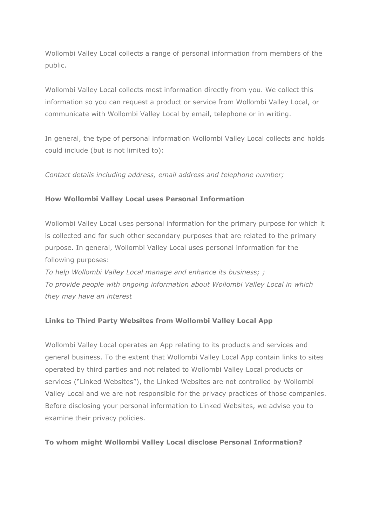Wollombi Valley Local collects a range of personal information from members of the public.

Wollombi Valley Local collects most information directly from you. We collect this information so you can request a product or service from Wollombi Valley Local, or communicate with Wollombi Valley Local by email, telephone or in writing.

In general, the type of personal information Wollombi Valley Local collects and holds could include (but is not limited to):

*Contact details including address, email address and telephone number;*

# **How Wollombi Valley Local uses Personal Information**

Wollombi Valley Local uses personal information for the primary purpose for which it is collected and for such other secondary purposes that are related to the primary purpose. In general, Wollombi Valley Local uses personal information for the following purposes:

*To help Wollombi Valley Local manage and enhance its business; ; To provide people with ongoing information about Wollombi Valley Local in which they may have an interest*

# **Links to Third Party Websites from Wollombi Valley Local App**

Wollombi Valley Local operates an App relating to its products and services and general business. To the extent that Wollombi Valley Local App contain links to sites operated by third parties and not related to Wollombi Valley Local products or services ("Linked Websites"), the Linked Websites are not controlled by Wollombi Valley Local and we are not responsible for the privacy practices of those companies. Before disclosing your personal information to Linked Websites, we advise you to examine their privacy policies.

#### **To whom might Wollombi Valley Local disclose Personal Information?**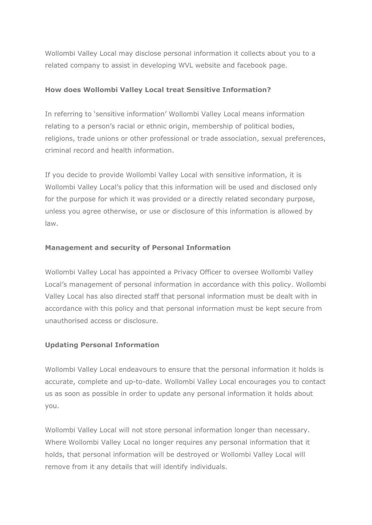Wollombi Valley Local may disclose personal information it collects about you to a related company to assist in developing WVL website and facebook page.

#### **How does Wollombi Valley Local treat Sensitive Information?**

In referring to 'sensitive information' Wollombi Valley Local means information relating to a person's racial or ethnic origin, membership of political bodies, religions, trade unions or other professional or trade association, sexual preferences, criminal record and health information.

If you decide to provide Wollombi Valley Local with sensitive information, it is Wollombi Valley Local's policy that this information will be used and disclosed only for the purpose for which it was provided or a directly related secondary purpose, unless you agree otherwise, or use or disclosure of this information is allowed by law.

#### **Management and security of Personal Information**

Wollombi Valley Local has appointed a Privacy Officer to oversee Wollombi Valley Local's management of personal information in accordance with this policy. Wollombi Valley Local has also directed staff that personal information must be dealt with in accordance with this policy and that personal information must be kept secure from unauthorised access or disclosure.

#### **Updating Personal Information**

Wollombi Valley Local endeavours to ensure that the personal information it holds is accurate, complete and up-to-date. Wollombi Valley Local encourages you to contact us as soon as possible in order to update any personal information it holds about you.

Wollombi Valley Local will not store personal information longer than necessary. Where Wollombi Valley Local no longer requires any personal information that it holds, that personal information will be destroyed or Wollombi Valley Local will remove from it any details that will identify individuals.